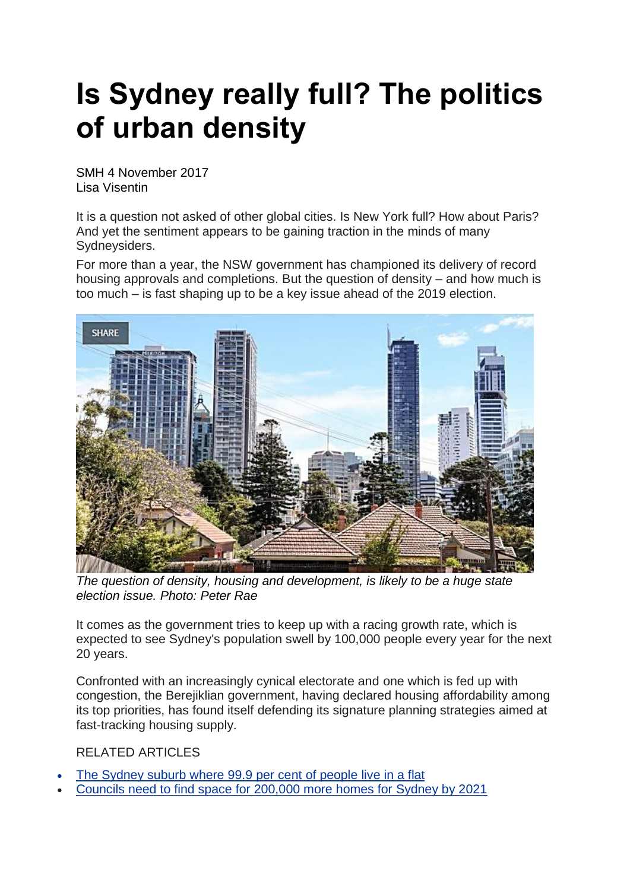## **Is Sydney really full? The politics of urban density**

SMH 4 November 2017 Lisa Visentin

It is a question not asked of other global cities. Is New York full? How about Paris? And yet the sentiment appears to be gaining traction in the minds of many Sydneysiders.

For more than a year, the NSW government has championed its delivery of record housing approvals and completions. But the question of density – and how much is too much – is fast shaping up to be a key issue ahead of the 2019 election.



*The question of density, housing and development, is likely to be a huge state election issue. Photo: Peter Rae*

It comes as the government tries to keep up with a racing growth rate, which is expected to see Sydney's population swell by 100,000 people every year for the next 20 years.

Confronted with an increasingly cynical electorate and one which is fed up with congestion, the Berejiklian government, having declared housing affordability among its top priorities, has found itself defending its signature planning strategies aimed at fast-tracking housing supply.

RELATED ARTICLES

- The [Sydney](http://www.smh.com.au/business/property/high-density-sydney-how-your-suburb-rates-according-to-the-2016-census-20170718-gxe018.html) suburb where 99.9 per cent of people live in a flat
- [Councils](http://www.smh.com.au/nsw/commission-holds-firm-on-housing-targets-for-sydney-councils-20171026-gz8w4b.html) need to find space for 200,000 more homes for Sydney by 2021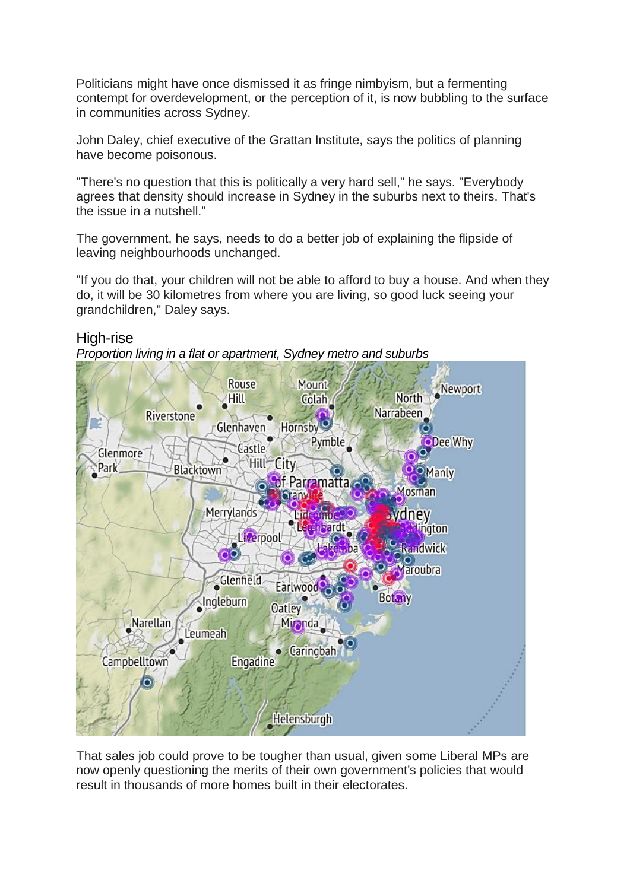Politicians might have once dismissed it as fringe nimbyism, but a fermenting contempt for overdevelopment, or the perception of it, is now bubbling to the surface in communities across Sydney.

John Daley, chief executive of the Grattan Institute, says the politics of planning have become poisonous.

"There's no question that this is politically a very hard sell," he says. "Everybody agrees that density should increase in Sydney in the suburbs next to theirs. That's the issue in a nutshell."

The government, he says, needs to do a better job of explaining the flipside of leaving neighbourhoods unchanged.

"If you do that, your children will not be able to afford to buy a house. And when they do, it will be 30 kilometres from where you are living, so good luck seeing your grandchildren," Daley says.

High-rise

*Proportion living in a flat or apartment, Sydney metro and suburbs*



That sales job could prove to be tougher than usual, given some Liberal MPs are now openly questioning the merits of their own government's policies that would result in thousands of more homes built in their electorates.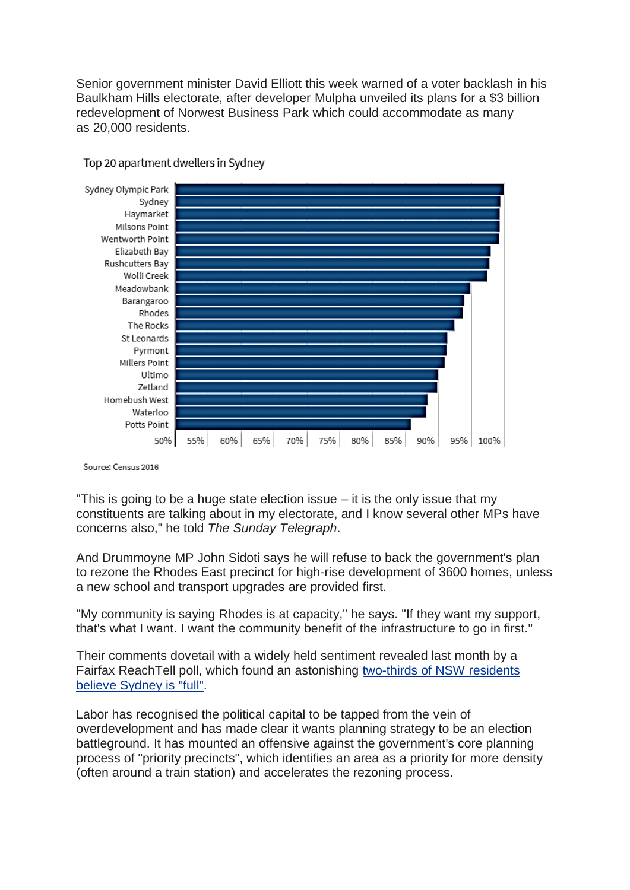Senior government minister David Elliott this week warned of a voter backlash in his Baulkham Hills electorate, after developer Mulpha unveiled its plans for a \$3 billion redevelopment of Norwest Business Park which could accommodate as many as 20,000 residents.



Top 20 apartment dwellers in Sydney

Source: Census 2016

"This is going to be a huge state election issue – it is the only issue that my constituents are talking about in my electorate, and I know several other MPs have concerns also," he told *The Sunday Telegraph*.

And Drummoyne MP John Sidoti says he will refuse to back the government's plan to rezone the Rhodes East precinct for high-rise development of 3600 homes, unless a new school and transport upgrades are provided first.

"My community is saying Rhodes is at capacity," he says. "If they want my support, that's what I want. I want the community benefit of the infrastructure to go in first."

Their comments dovetail with a widely held sentiment revealed last month by a Fairfax ReachTell poll, which found an astonishing [two-thirds](http://www.smh.com.au/business/property/sydneysiders-in-revolt-over-development-as-two-thirds-declare-the-city-is-full-20171008-gywl1c.html) of NSW residents believe [Sydney](http://www.smh.com.au/business/property/sydneysiders-in-revolt-over-development-as-two-thirds-declare-the-city-is-full-20171008-gywl1c.html) is "full".

Labor has recognised the political capital to be tapped from the vein of overdevelopment and has made clear it wants planning strategy to be an election battleground. It has mounted an offensive against the government's core planning process of "priority precincts", which identifies an area as a priority for more density (often around a train station) and accelerates the rezoning process.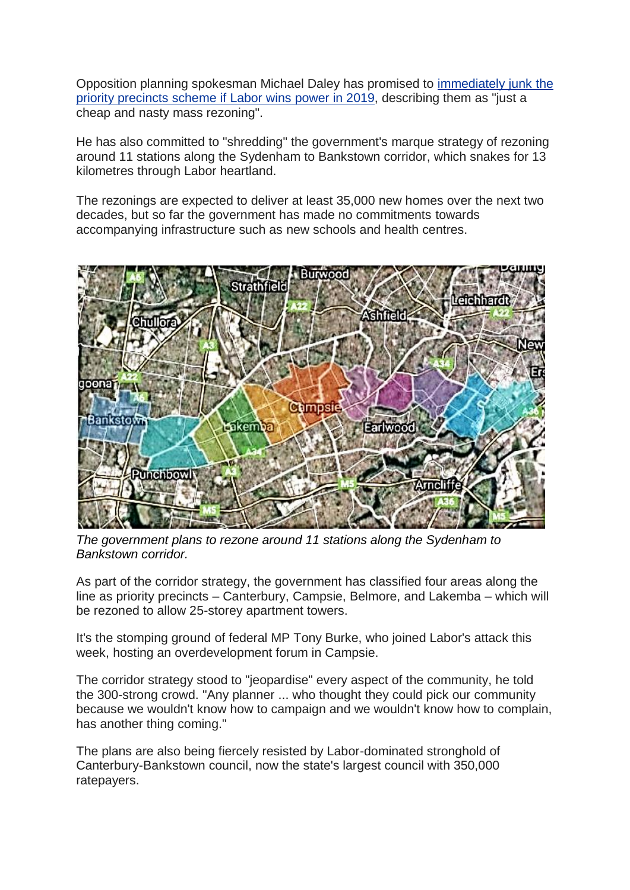Opposition planning spokesman Michael Daley has promised to [immediately](http://www.smh.com.au/nsw/labor-promises-major-planning-overhaul-for-sydney-if-elected-in-2019-20171020-gz53ns.html) junk the priority [precincts](http://www.smh.com.au/nsw/labor-promises-major-planning-overhaul-for-sydney-if-elected-in-2019-20171020-gz53ns.html) scheme if Labor wins power in 2019, describing them as "just a cheap and nasty mass rezoning".

He has also committed to "shredding" the government's marque strategy of rezoning around 11 stations along the Sydenham to Bankstown corridor, which snakes for 13 kilometres through Labor heartland.

The rezonings are expected to deliver at least 35,000 new homes over the next two decades, but so far the government has made no commitments towards accompanying infrastructure such as new schools and health centres.



*The government plans to rezone around 11 stations along the Sydenham to Bankstown corridor.*

As part of the corridor strategy, the government has classified four areas along the line as priority precincts – Canterbury, Campsie, Belmore, and Lakemba – which will be rezoned to allow 25-storey apartment towers.

It's the stomping ground of federal MP Tony Burke, who joined Labor's attack this week, hosting an overdevelopment forum in Campsie.

The corridor strategy stood to "jeopardise" every aspect of the community, he told the 300-strong crowd. "Any planner ... who thought they could pick our community because we wouldn't know how to campaign and we wouldn't know how to complain, has another thing coming."

The plans are also being fiercely resisted by Labor-dominated stronghold of Canterbury-Bankstown council, now the state's largest council with 350,000 ratepayers.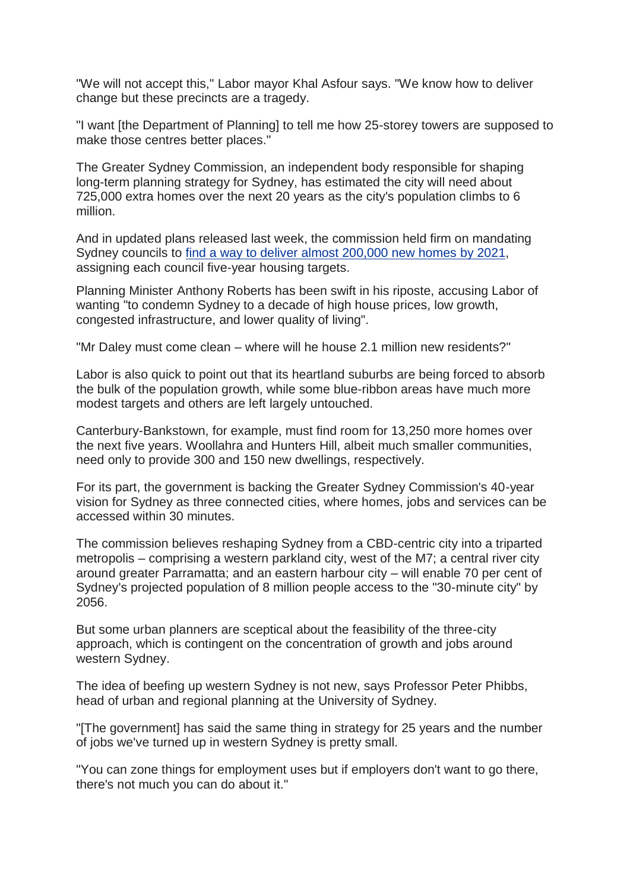"We will not accept this," Labor mayor Khal Asfour says. "We know how to deliver change but these precincts are a tragedy.

"I want [the Department of Planning] to tell me how 25-storey towers are supposed to make those centres better places."

The Greater Sydney Commission, an independent body responsible for shaping long-term planning strategy for Sydney, has estimated the city will need about 725,000 extra homes over the next 20 years as the city's population climbs to 6 million.

And in updated plans released last week, the commission held firm on mandating Sydney councils to find a way to deliver almost [200,000](http://www.smh.com.au/nsw/commission-holds-firm-on-housing-targets-for-sydney-councils-20171026-gz8w4b.html) new homes by 2021, assigning each council five-year housing targets.

Planning Minister Anthony Roberts has been swift in his riposte, accusing Labor of wanting "to condemn Sydney to a decade of high house prices, low growth, congested infrastructure, and lower quality of living".

"Mr Daley must come clean – where will he house 2.1 million new residents?"

Labor is also quick to point out that its heartland suburbs are being forced to absorb the bulk of the population growth, while some blue-ribbon areas have much more modest targets and others are left largely untouched.

Canterbury-Bankstown, for example, must find room for 13,250 more homes over the next five years. Woollahra and Hunters Hill, albeit much smaller communities, need only to provide 300 and 150 new dwellings, respectively.

For its part, the government is backing the Greater Sydney Commission's 40-year vision for Sydney as three connected cities, where homes, jobs and services can be accessed within 30 minutes.

The commission believes reshaping Sydney from a CBD-centric city into a triparted metropolis – comprising a western parkland city, west of the M7; a central river city around greater Parramatta; and an eastern harbour city – will enable 70 per cent of Sydney's projected population of 8 million people access to the "30-minute city" by 2056.

But some urban planners are sceptical about the feasibility of the three-city approach, which is contingent on the concentration of growth and jobs around western Sydney.

The idea of beefing up western Sydney is not new, says Professor Peter Phibbs, head of urban and regional planning at the University of Sydney.

"[The government] has said the same thing in strategy for 25 years and the number of jobs we've turned up in western Sydney is pretty small.

"You can zone things for employment uses but if employers don't want to go there, there's not much you can do about it."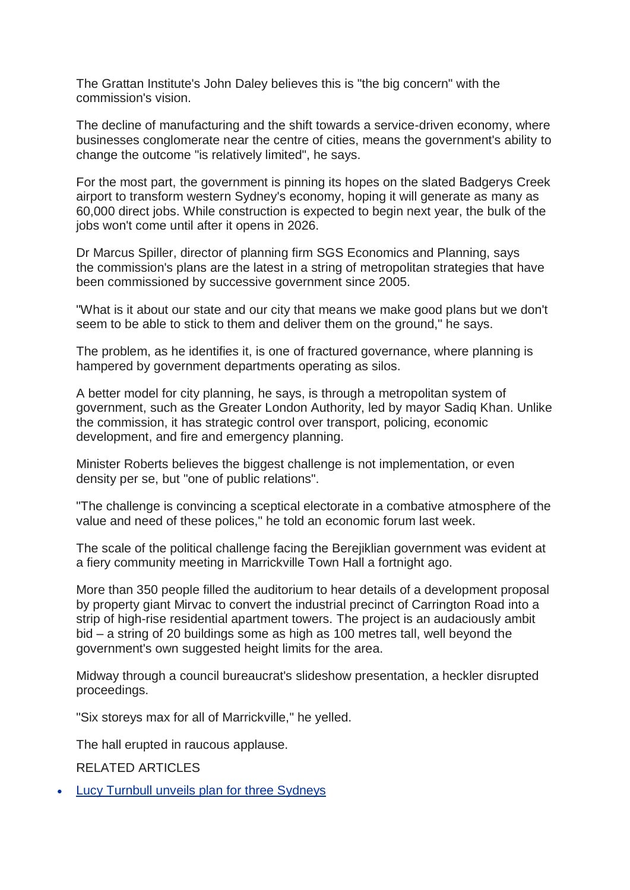The Grattan Institute's John Daley believes this is "the big concern" with the commission's vision.

The decline of manufacturing and the shift towards a service-driven economy, where businesses conglomerate near the centre of cities, means the government's ability to change the outcome "is relatively limited", he says.

For the most part, the government is pinning its hopes on the slated Badgerys Creek airport to transform western Sydney's economy, hoping it will generate as many as 60,000 direct jobs. While construction is expected to begin next year, the bulk of the jobs won't come until after it opens in 2026.

Dr Marcus Spiller, director of planning firm SGS Economics and Planning, says the commission's plans are the latest in a string of metropolitan strategies that have been commissioned by successive government since 2005.

"What is it about our state and our city that means we make good plans but we don't seem to be able to stick to them and deliver them on the ground," he says.

The problem, as he identifies it, is one of fractured governance, where planning is hampered by government departments operating as silos.

A better model for city planning, he says, is through a metropolitan system of government, such as the Greater London Authority, led by mayor Sadiq Khan. Unlike the commission, it has strategic control over transport, policing, economic development, and fire and emergency planning.

Minister Roberts believes the biggest challenge is not implementation, or even density per se, but "one of public relations".

"The challenge is convincing a sceptical electorate in a combative atmosphere of the value and need of these polices," he told an economic forum last week.

The scale of the political challenge facing the Berejiklian government was evident at a fiery community meeting in Marrickville Town Hall a fortnight ago.

More than 350 people filled the auditorium to hear details of a development proposal by property giant Mirvac to convert the industrial precinct of Carrington Road into a strip of high-rise residential apartment towers. The project is an audaciously ambit bid – a string of 20 buildings some as high as 100 metres tall, well beyond the government's own suggested height limits for the area.

Midway through a council bureaucrat's slideshow presentation, a heckler disrupted proceedings.

"Six storeys max for all of Marrickville," he yelled.

The hall erupted in raucous applause.

RELATED ARTICLES

• Lucy Turnbull unveils plan for three [Sydneys](http://www.smh.com.au/nsw/lucy-turnbull-unveils-plan-for-three-sydneys-20171022-gz5un4.html)